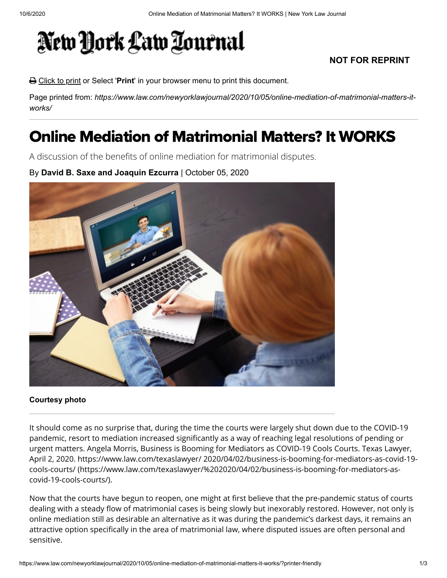## New York Law Tournal

## **NOT FOR REPRINT**

Click to print or Select '**Print**' in your browser menu to print this document.

Page printed from: *https://www.law.com/newyorklawjournal/2020/10/05/online-mediation-of-matrimonial-matters-itworks/*

## Online Mediation of Matrimonial Matters? It WORKS

A discussion of the benefits of online mediation for matrimonial disputes.

By **David B. Saxe and Joaquin Ezcurra** | October 05, 2020



## **Courtesy photo**

It should come as no surprise that, during the time the courts were largely shut down due to the COVID-19 pandemic, resort to mediation increased significantly as a way of reaching legal resolutions of pending or urgent matters. Angela Morris, Business is Booming for Mediators as COVID-19 Cools Courts. Texas Lawyer, [April 2, 2020. https://www.law.com/texaslawyer/ 2020/04/02/business-is-booming-for-mediators-as-covid-19](https://www.law.com/texaslawyer/%202020/04/02/business-is-booming-for-mediators-as-covid-19-cools-courts/) cools-courts/ (https://www.law.com/texaslawyer/%202020/04/02/business-is-booming-for-mediators-ascovid-19-cools-courts/).

Now that the courts have begun to reopen, one might at first believe that the pre-pandemic status of courts dealing with a steady flow of matrimonial cases is being slowly but inexorably restored. However, not only is online mediation still as desirable an alternative as it was during the pandemic's darkest days, it remains an attractive option specifically in the area of matrimonial law, where disputed issues are often personal and sensitive.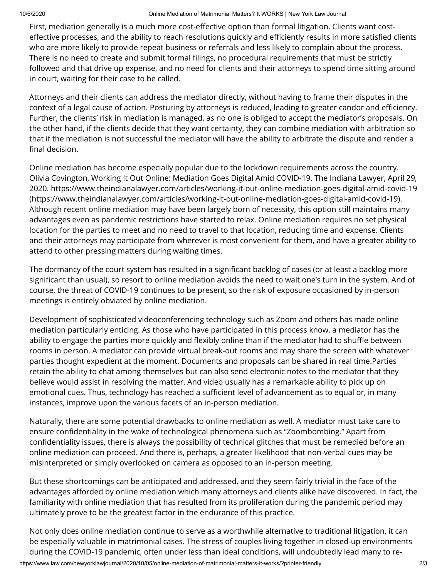First, mediation generally is a much more cost-effective option than formal litigation. Clients want costeffective processes, and the ability to reach resolutions quickly and efficiently results in more satisfied clients who are more likely to provide repeat business or referrals and less likely to complain about the process. There is no need to create and submit formal filings, no procedural requirements that must be strictly followed and that drive up expense, and no need for clients and their attorneys to spend time sitting around in court, waiting for their case to be called.

Attorneys and their clients can address the mediator directly, without having to frame their disputes in the context of a legal cause of action. Posturing by attorneys is reduced, leading to greater candor and efficiency. Further, the clients' risk in mediation is managed, as no one is obliged to accept the mediator's proposals. On the other hand, if the clients decide that they want certainty, they can combine mediation with arbitration so that if the mediation is not successful the mediator will have the ability to arbitrate the dispute and render a final decision.

Online mediation has become especially popular due to the lockdown requirements across the country. Olivia Covington, Working It Out Online: Mediation Goes Digital Amid COVID-19. The Indiana Lawyer, April 29, [2020. https://www.theindianalawyer.com/articles/working-it-out-online-mediation-goes-digital-amid-covid-19](https://www.theindianalawyer.com/articles/working-it-out-online-mediation-goes-digital-amid-covid-19) (https://www.theindianalawyer.com/articles/working-it-out-online-mediation-goes-digital-amid-covid-19). Although recent online mediation may have been largely born of necessity, this option still maintains many advantages even as pandemic restrictions have started to relax. Online mediation requires no set physical location for the parties to meet and no need to travel to that location, reducing time and expense. Clients and their attorneys may participate from wherever is most convenient for them, and have a greater ability to attend to other pressing matters during waiting times.

The dormancy of the court system has resulted in a significant backlog of cases (or at least a backlog more significant than usual), so resort to online mediation avoids the need to wait one's turn in the system. And of course, the threat of COVID-19 continues to be present, so the risk of exposure occasioned by in-person meetings is entirely obviated by online mediation.

Development of sophisticated videoconferencing technology such as Zoom and others has made online mediation particularly enticing. As those who have participated in this process know, a mediator has the ability to engage the parties more quickly and flexibly online than if the mediator had to shuffle between rooms in person. A mediator can provide virtual break-out rooms and may share the screen with whatever parties thought expedient at the moment. Documents and proposals can be shared in real time.Parties retain the ability to chat among themselves but can also send electronic notes to the mediator that they believe would assist in resolving the matter. And video usually has a remarkable ability to pick up on emotional cues. Thus, technology has reached a sufficient level of advancement as to equal or, in many instances, improve upon the various facets of an in-person mediation.

Naturally, there are some potential drawbacks to online mediation as well. A mediator must take care to ensure confidentiality in the wake of technological phenomena such as "Zoombombing." Apart from confidentiality issues, there is always the possibility of technical glitches that must be remedied before an online mediation can proceed. And there is, perhaps, a greater likelihood that non-verbal cues may be misinterpreted or simply overlooked on camera as opposed to an in-person meeting.

But these shortcomings can be anticipated and addressed, and they seem fairly trivial in the face of the advantages afforded by online mediation which many attorneys and clients alike have discovered. In fact, the familiarity with online mediation that has resulted from its proliferation during the pandemic period may ultimately prove to be the greatest factor in the endurance of this practice.

https://www.law.com/newyorklawjournal/2020/10/05/online-mediation-of-matrimonial-matters-it-works/?printer-friendly 2/3 Not only does online mediation continue to serve as a worthwhile alternative to traditional litigation, it can be especially valuable in matrimonial cases. The stress of couples living together in closed-up environments during the COVID-19 pandemic, often under less than ideal conditions, will undoubtedly lead many to re